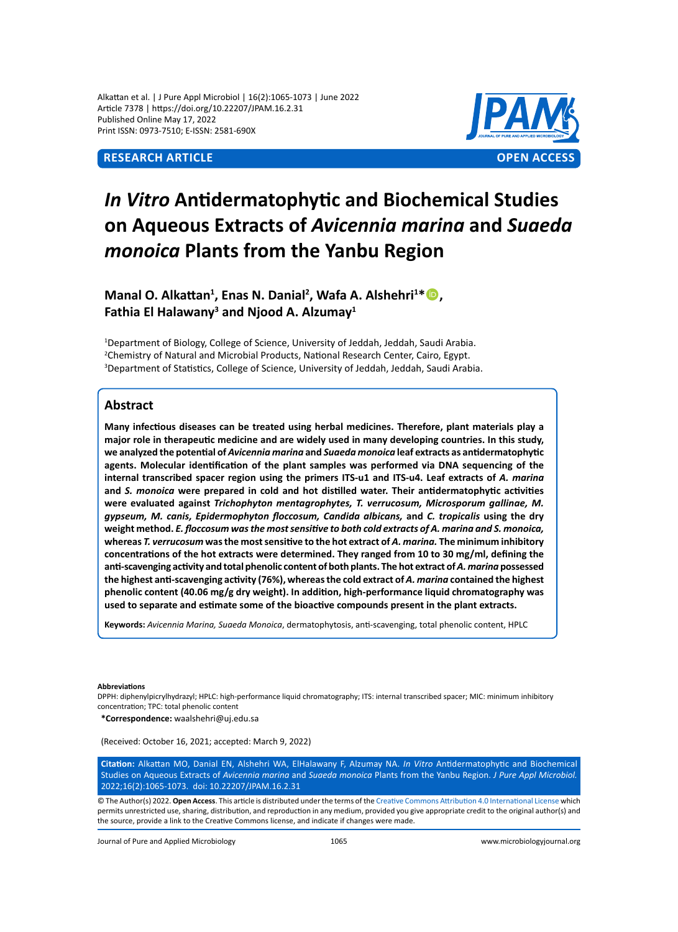Alkattan et al. | J Pure Appl Microbiol | 16(2):1065-1073 | June 2022 Article 7378 | https://doi.org/10.22207/JPAM.16.2.31 Published Online May 17, 2022 Print ISSN: 0973-7510; E-ISSN: 2581-690X



# *In Vitro* **Antidermatophytic and Biochemical Studies on Aqueous Extracts of** *Avicennia marina* **and** *Suaeda monoica* **Plants from the Yanbu Region**

**Manal O. Alkattan<sup>1</sup> , Enas N. Danial<sup>2</sup> , Wafa A. Alshehri<sup>1</sup> \*, Fathia El Halawany<sup>3</sup> and Njood A. Alzumay<sup>1</sup>**

<sup>1</sup>Department of Biology, College of Science, University of Jeddah, Jeddah, Saudi Arabia. <sup>2</sup>Chemistry of Natural and Microbial Products, National Research Center, Cairo, Egypt. 3 Department of Statistics, College of Science, University of Jeddah, Jeddah, Saudi Arabia.

# **Abstract**

**Many infectious diseases can be treated using herbal medicines. Therefore, plant materials play a major role in therapeutic medicine and are widely used in many developing countries. In this study, we analyzed the potential of** *Avicennia marina* **and** *Suaeda monoica* **leaf extracts as antidermatophytic agents. Molecular identification of the plant samples was performed via DNA sequencing of the internal transcribed spacer region using the primers ITS-u1 and ITS-u4. Leaf extracts of** *A. marina* **and** *S. monoica* **were prepared in cold and hot distilled water. Their antidermatophytic activities were evaluated against** *Trichophyton mentagrophytes, T. verrucosum, Microsporum gallinae, M. gypseum, M. canis, Epidermophyton floccosum, Candida albicans,* **and** *C. tropicalis* **using the dry weight method.** *E. floccosum was the most sensitive to both cold extracts of A. marina and S. monoica,*  **whereas** *T. verrucosum* **was the most sensitive to the hot extract of** *A. marina.* **The minimum inhibitory concentrations of the hot extracts were determined. They ranged from 10 to 30 mg/ml, defining the anti-scavenging activity and total phenolic content of both plants. The hot extract of** *A. marina* **possessed the highest anti-scavenging activity (76%), whereas the cold extract of** *A. marina* **contained the highest phenolic content (40.06 mg/g dry weight). In addition, high-performance liquid chromatography was used to separate and estimate some of the bioactive compounds present in the plant extracts.**

**Keywords:** *Avicennia Marina, Suaeda Monoica*, dermatophytosis, anti-scavenging, total phenolic content, HPLC

#### **Abbreviations**

DPPH: diphenylpicrylhydrazyl; HPLC: high-performance liquid chromatography; ITS: internal transcribed spacer; MIC: minimum inhibitory concentration; TPC: total phenolic content

**\*Correspondence:** waalshehri@uj.edu.sa

(Received: October 16, 2021; accepted: March 9, 2022)

**Citation:** Alkattan MO, Danial EN, Alshehri WA, ElHalawany F, Alzumay NA. *In Vitro* Antidermatophytic and Biochemical Studies on Aqueous Extracts of *Avicennia marina* and *Suaeda monoica* Plants from the Yanbu Region. *J Pure Appl Microbiol.* 2022;16(2):1065-1073. doi: 10.22207/JPAM.16.2.31

© The Author(s) 2022. **Open Access**. This article is distributed under the terms of the [Creative Commons Attribution 4.0 International License](https://creativecommons.org/licenses/by/4.0/) which permits unrestricted use, sharing, distribution, and reproduction in any medium, provided you give appropriate credit to the original author(s) and the source, provide a link to the Creative Commons license, and indicate if changes were made.

Journal of Pure and Applied Microbiology 1065 www.microbiologyjournal.org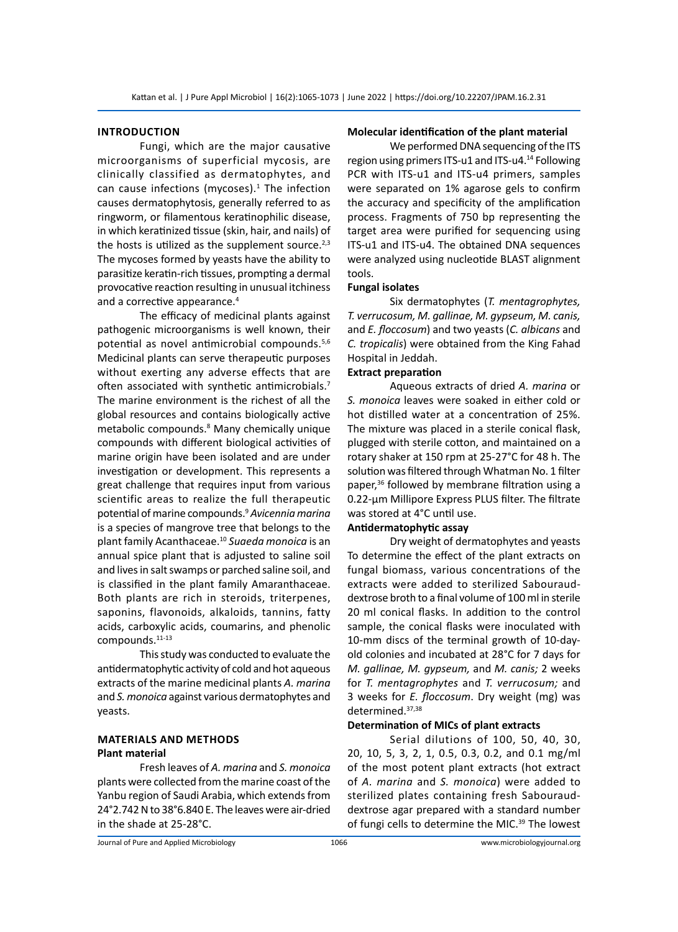#### **Introduction**

Fungi, which are the major causative microorganisms of superficial mycosis, are clinically classified as dermatophytes, and can cause infections (mycoses). $1$  The infection causes dermatophytosis, generally referred to as ringworm, or filamentous keratinophilic disease, in which keratinized tissue (skin, hair, and nails) of the hosts is utilized as the supplement source. $2,3$ The mycoses formed by yeasts have the ability to parasitize keratin-rich tissues, prompting a dermal provocative reaction resulting in unusual itchiness and a corrective appearance.<sup>4</sup>

The efficacy of medicinal plants against pathogenic microorganisms is well known, their potential as novel antimicrobial compounds.5,6 Medicinal plants can serve therapeutic purposes without exerting any adverse effects that are often associated with synthetic antimicrobials.<sup>7</sup> The marine environment is the richest of all the global resources and contains biologically active metabolic compounds.8 Many chemically unique compounds with different biological activities of marine origin have been isolated and are under investigation or development. This represents a great challenge that requires input from various scientific areas to realize the full therapeutic potential of marine compounds.<sup>9</sup> *Avicennia marina* is a species of mangrove tree that belongs to the plant family Acanthaceae.<sup>10</sup> *Suaeda monoica* is an annual spice plant that is adjusted to saline soil and lives in salt swamps or parched saline soil, and is classified in the plant family Amaranthaceae. Both plants are rich in steroids, triterpenes, saponins, flavonoids, alkaloids, tannins, fatty acids, carboxylic acids, coumarins, and phenolic compounds.11-13

This study was conducted to evaluate the antidermatophytic activity of cold and hot aqueous extracts of the marine medicinal plants *A. marina* and *S. monoica* against various dermatophytes and yeasts.

# **Materials and Methods Plant material**

Fresh leaves of *A. marina* and *S. monoica* plants were collected from the marine coast of the Yanbu region of Saudi Arabia, which extends from 24°2.742 N to 38°6.840 E. The leaves were air-dried in the shade at 25-28°C.

#### **Molecular identification of the plant material**

We performed DNA sequencing of the ITS region using primers ITS-u1 and ITS-u4.14 Following PCR with ITS-u1 and ITS-u4 primers, samples were separated on 1% agarose gels to confirm the accuracy and specificity of the amplification process. Fragments of 750 bp representing the target area were purified for sequencing using ITS-u1 and ITS-u4. The obtained DNA sequences were analyzed using nucleotide BLAST alignment tools.

#### **Fungal isolates**

Six dermatophytes (*T. mentagrophytes, T. verrucosum, M. gallinae, M. gypseum, M. canis,* and *E. floccosum*) and two yeasts (*C. albicans* and *C. tropicalis*) were obtained from the King Fahad Hospital in Jeddah.

#### **Extract preparation**

Aqueous extracts of dried *A. marina* or *S. monoica* leaves were soaked in either cold or hot distilled water at a concentration of 25%. The mixture was placed in a sterile conical flask, plugged with sterile cotton, and maintained on a rotary shaker at 150 rpm at 25-27°C for 48 h. The solution was filtered through Whatman No. 1 filter paper,<sup>36</sup> followed by membrane filtration using a 0.22-μm Millipore Express PLUS filter. The filtrate was stored at 4°C until use.

#### **Antidermatophytic assay**

Dry weight of dermatophytes and yeasts To determine the effect of the plant extracts on fungal biomass, various concentrations of the extracts were added to sterilized Sabourauddextrose broth to a final volume of 100 ml in sterile 20 ml conical flasks. In addition to the control sample, the conical flasks were inoculated with 10-mm discs of the terminal growth of 10-dayold colonies and incubated at 28°C for 7 days for *M. gallinae, M. gypseum,* and *M. canis;* 2 weeks for *T. mentagrophytes* and *T. verrucosum;* and 3 weeks for *E. floccosum*. Dry weight (mg) was determined.37,38

#### **Determination of MICs of plant extracts**

Serial dilutions of 100, 50, 40, 30, 20, 10, 5, 3, 2, 1, 0.5, 0.3, 0.2, and 0.1 mg/ml of the most potent plant extracts (hot extract of *A. marina* and *S. monoica*) were added to sterilized plates containing fresh Sabourauddextrose agar prepared with a standard number of fungi cells to determine the MIC.<sup>39</sup> The lowest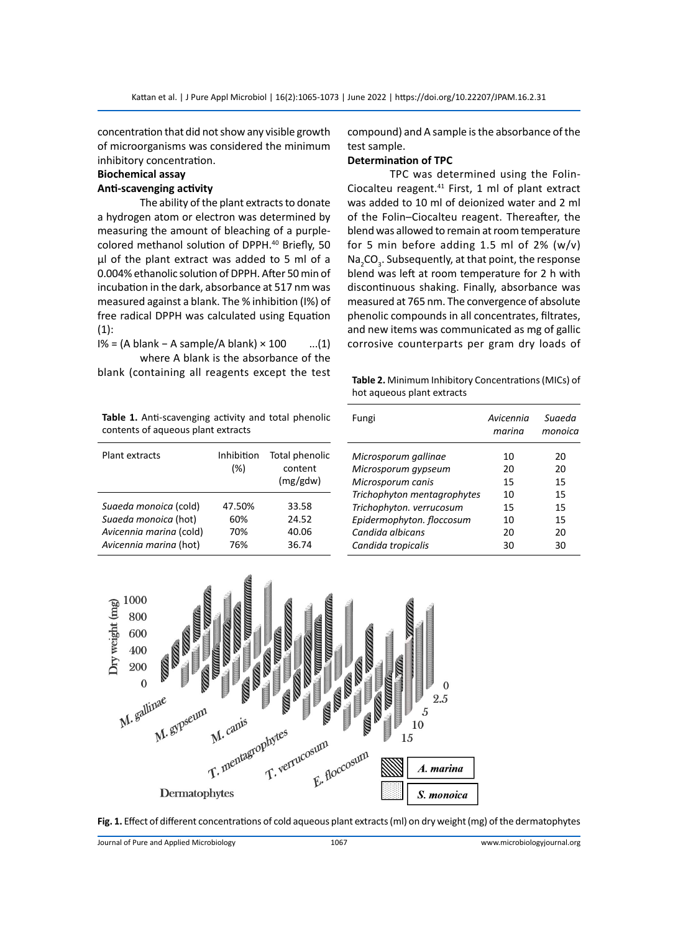concentration that did not show any visible growth of microorganisms was considered the minimum inhibitory concentration.

# **Biochemical assay**

# **Anti-scavenging activity**

The ability of the plant extracts to donate a hydrogen atom or electron was determined by measuring the amount of bleaching of a purplecolored methanol solution of DPPH.<sup>40</sup> Briefly, 50 μl of the plant extract was added to 5 ml of a 0.004% ethanolic solution of DPPH. After 50 min of incubation in the dark, absorbance at 517 nm was measured against a blank. The % inhibition (I%) of free radical DPPH was calculated using Equation (1):

I% = (A blank − A sample/A blank) × 100 ...(1) where A blank is the absorbance of the

blank (containing all reagents except the test

**Table 1.** Anti-scavenging activity and total phenolic contents of aqueous plant extracts

| Plant extracts          | Inhibition<br>(%) | Total phenolic<br>content<br>(mg/gdw) |
|-------------------------|-------------------|---------------------------------------|
| Suaeda monoica (cold)   | 47.50%            | 33.58                                 |
| Suaeda monoica (hot)    | 60%               | 24.52                                 |
| Avicennia marina (cold) | 70%               | 40.06                                 |
| Avicennia marina (hot)  | 76%               | 36.74                                 |

compound) and A sample is the absorbance of the test sample.

#### **Determination of TPC**

TPC was determined using the Folin-Ciocalteu reagent.41 First, 1 ml of plant extract was added to 10 ml of deionized water and 2 ml of the Folin–Ciocalteu reagent. Thereafter, the blend was allowed to remain at room temperature for 5 min before adding 1.5 ml of 2%  $(w/v)$  $\textsf{Na}_2\textsf{CO}_3$ . Subsequently, at that point, the response blend was left at room temperature for 2 h with discontinuous shaking. Finally, absorbance was measured at 765 nm. The convergence of absolute phenolic compounds in all concentrates, filtrates, and new items was communicated as mg of gallic corrosive counterparts per gram dry loads of

**Table 2.** Minimum Inhibitory Concentrations (MICs) of hot aqueous plant extracts

| Fungi                       | Avicennia<br>marina | Suaeda<br>monoica |
|-----------------------------|---------------------|-------------------|
| Microsporum gallinae        | 10                  | 20                |
| Microsporum gypseum         | 20                  | 20                |
| Microsporum canis           | 15                  | 15                |
| Trichophyton mentagrophytes | 10                  | 15                |
| Trichophyton. verrucosum    | 15                  | 15                |
| Epidermophyton. floccosum   | 10                  | 15                |
| Candida albicans            | 20                  | 20                |
| Candida tropicalis          | 30                  | 30                |



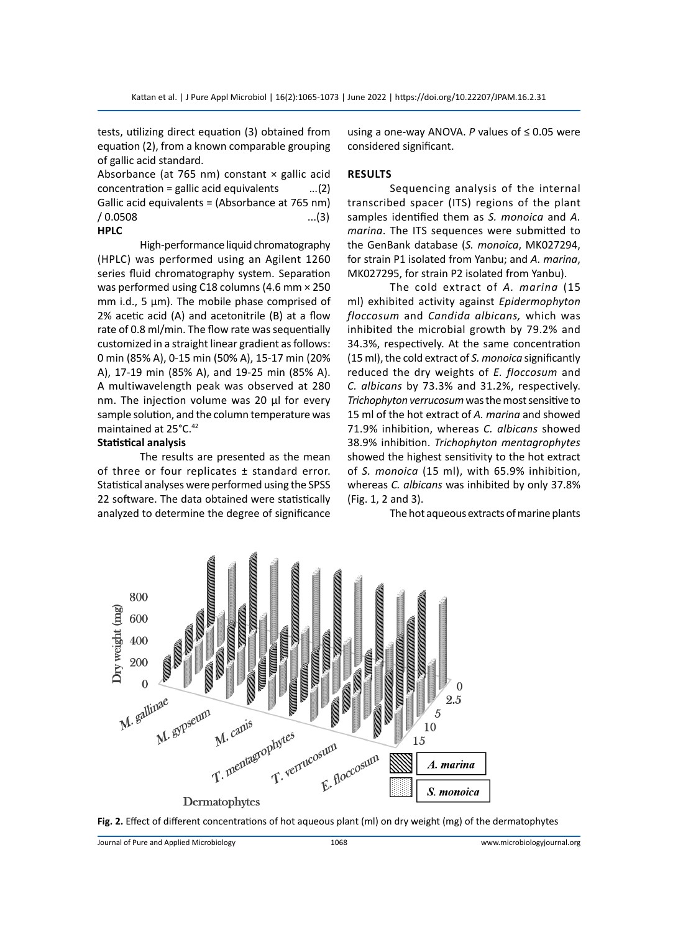tests, utilizing direct equation (3) obtained from equation (2), from a known comparable grouping of gallic acid standard.

Absorbance (at 765 nm) constant  $\times$  gallic acid concentration = gallic acid equivalents  $...(2)$ Gallic acid equivalents = (Absorbance at 765 nm)  $/ 0.0508$  ...(3) **HPLC**

High-performance liquid chromatography (HPLC) was performed using an Agilent 1260 series fluid chromatography system. Separation was performed using C18 columns (4.6 mm × 250 mm i.d., 5 μm). The mobile phase comprised of 2% acetic acid (A) and acetonitrile (B) at a flow rate of 0.8 ml/min. The flow rate was sequentially customized in a straight linear gradient as follows: 0 min (85% A), 0-15 min (50% A), 15-17 min (20% A), 17-19 min (85% A), and 19-25 min (85% A). A multiwavelength peak was observed at 280 nm. The injection volume was 20 μl for every sample solution, and the column temperature was maintained at 25°C.<sup>42</sup>

#### **Statistical analysis**

The results are presented as the mean of three or four replicates ± standard error. Statistical analyses were performed using the SPSS 22 software. The data obtained were statistically analyzed to determine the degree of significance using a one-way ANOVA. *P* values of ≤ 0.05 were considered significant.

#### **Results**

Sequencing analysis of the internal transcribed spacer (ITS) regions of the plant samples identified them as *S. monoica* and *A. marina*. The ITS sequences were submitted to the GenBank database (*S. monoica*, MK027294, for strain P1 isolated from Yanbu; and *A. marina*, MK027295, for strain P2 isolated from Yanbu).

The cold extract of *A. marina* (15 ml) exhibited activity against *Epidermophyton floccosum* and *Candida albicans,* which was inhibited the microbial growth by 79.2% and 34.3%, respectively. At the same concentration (15 ml), the cold extract of *S. monoica* significantly reduced the dry weights of *E. floccosum* and *C. albicans* by 73.3% and 31.2%, respectively. *Trichophyton verrucosum* was the most sensitive to 15 ml of the hot extract of *A. marina* and showed 71.9% inhibition, whereas *C. albicans* showed 38.9% inhibition. *Trichophyton mentagrophytes*  showed the highest sensitivity to the hot extract of *S. monoica* (15 ml), with 65.9% inhibition, whereas *C. albicans* was inhibited by only 37.8% (Fig. 1, 2 and 3).

The hot aqueous extracts of marine plants



**Fig. 2.** Effect of different concentrations of hot aqueous plant (ml) on dry weight (mg) of the dermatophytes

Journal of Pure and Applied Microbiology 1068 www.microbiologyjournal.org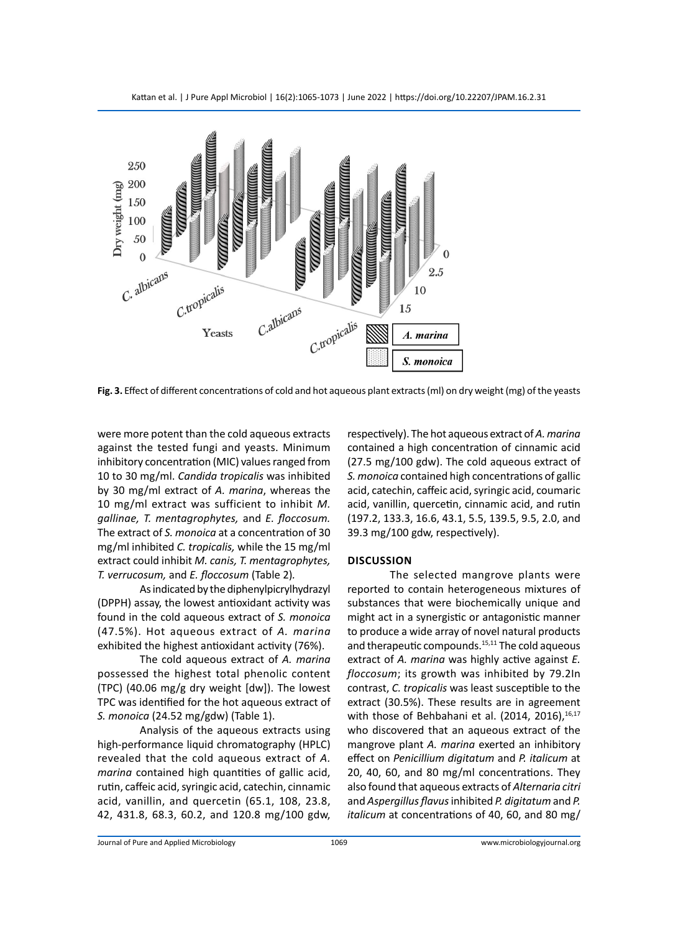

**Fig. 3.** Effect of different concentrations of cold and hot aqueous plant extracts (ml) on dry weight (mg) of the yeasts

were more potent than the cold aqueous extracts against the tested fungi and yeasts. Minimum inhibitory concentration (MIC) values ranged from 10 to 30 mg/ml. *Candida tropicalis* was inhibited by 30 mg/ml extract of *A. marina*, whereas the 10 mg/ml extract was sufficient to inhibit *M. gallinae, T. mentagrophytes,* and *E. floccosum.*  The extract of *S. monoica* at a concentration of 30 mg/ml inhibited *C. tropicalis,* while the 15 mg/ml extract could inhibit *M. canis, T. mentagrophytes, T. verrucosum,* and *E. floccosum* (Table 2)*.*

As indicated by the diphenylpicrylhydrazyl (DPPH) assay, the lowest antioxidant activity was found in the cold aqueous extract of *S. monoica* (47.5%). Hot aqueous extract of *A. marina* exhibited the highest antioxidant activity (76%).

The cold aqueous extract of *A. marina* possessed the highest total phenolic content (TPC) (40.06 mg/g dry weight [dw]). The lowest TPC was identified for the hot aqueous extract of *S. monoica* (24.52 mg/gdw) (Table 1).

Analysis of the aqueous extracts using high-performance liquid chromatography (HPLC) revealed that the cold aqueous extract of *A. marina* contained high quantities of gallic acid, rutin, caffeic acid, syringic acid, catechin, cinnamic acid, vanillin, and quercetin (65.1, 108, 23.8, 42, 431.8, 68.3, 60.2, and 120.8 mg/100 gdw,

respectively). The hot aqueous extract of *A. marina* contained a high concentration of cinnamic acid (27.5 mg/100 gdw). The cold aqueous extract of *S. monoica* contained high concentrations of gallic acid, catechin, caffeic acid, syringic acid, coumaric acid, vanillin, quercetin, cinnamic acid, and rutin (197.2, 133.3, 16.6, 43.1, 5.5, 139.5, 9.5, 2.0, and 39.3 mg/100 gdw, respectively).

#### **Discussion**

The selected mangrove plants were reported to contain heterogeneous mixtures of substances that were biochemically unique and might act in a synergistic or antagonistic manner to produce a wide array of novel natural products and therapeutic compounds.<sup>15,11</sup> The cold aqueous extract of *A. marina* was highly active against *E. floccosum*; its growth was inhibited by 79.2In contrast, *C. tropicalis* was least susceptible to the extract (30.5%). These results are in agreement with those of Behbahani et al. (2014, 2016), $16,17$ who discovered that an aqueous extract of the mangrove plant *A. marina* exerted an inhibitory effect on *Penicillium digitatum* and *P. italicum* at 20, 40, 60, and 80 mg/ml concentrations. They also found that aqueous extracts of *Alternaria citri*  and *Aspergillus flavus* inhibited *P. digitatum* and *P. italicum* at concentrations of 40, 60, and 80 mg/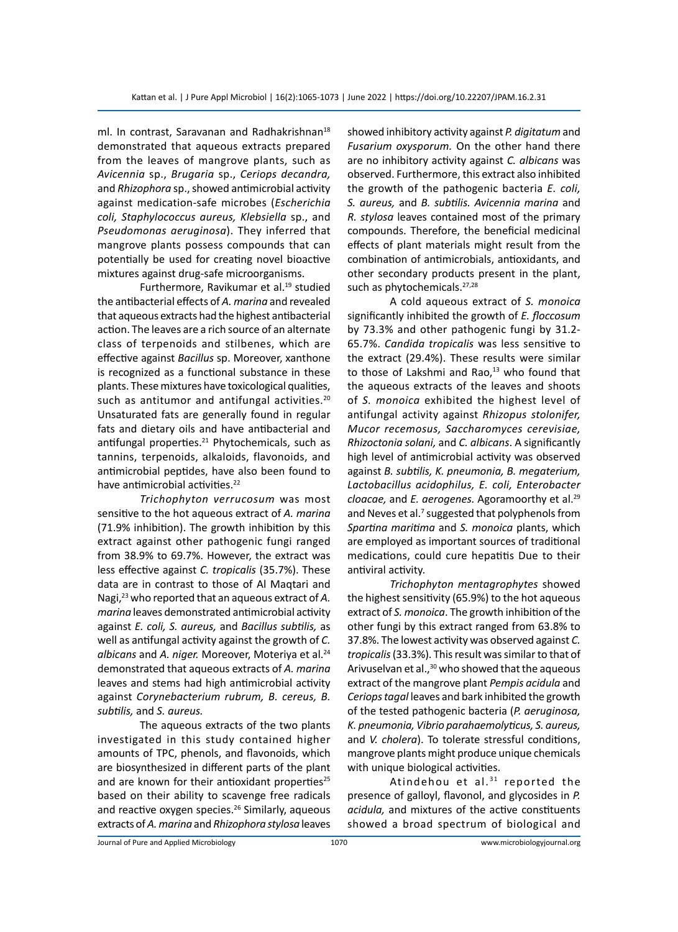ml. In contrast, Saravanan and Radhakrishnan<sup>18</sup> demonstrated that aqueous extracts prepared from the leaves of mangrove plants, such as *Avicennia* sp., *Brugaria* sp., *Ceriops decandra,* and *Rhizophora* sp., showed antimicrobial activity against medication-safe microbes (*Escherichia coli, Staphylococcus aureus, Klebsiella* sp., and *Pseudomonas aeruginosa*). They inferred that mangrove plants possess compounds that can potentially be used for creating novel bioactive mixtures against drug-safe microorganisms.

Furthermore, Ravikumar et al.<sup>19</sup> studied the antibacterial effects of *A. marina* and revealed that aqueous extracts had the highest antibacterial action. The leaves are a rich source of an alternate class of terpenoids and stilbenes, which are effective against *Bacillus* sp. Moreover, xanthone is recognized as a functional substance in these plants. These mixtures have toxicological qualities, such as antitumor and antifungal activities.<sup>20</sup> Unsaturated fats are generally found in regular fats and dietary oils and have antibacterial and antifungal properties. $21$  Phytochemicals, such as tannins, terpenoids, alkaloids, flavonoids, and antimicrobial peptides, have also been found to have antimicrobial activities.<sup>22</sup>

*Trichophyton verrucosum* was most sensitive to the hot aqueous extract of *A. marina* (71.9% inhibition). The growth inhibition by this extract against other pathogenic fungi ranged from 38.9% to 69.7%. However, the extract was less effective against *C. tropicalis* (35.7%). These data are in contrast to those of Al Maqtari and Nagi,<sup>23</sup> who reported that an aqueous extract of *A. marina* leaves demonstrated antimicrobial activity against *E. coli, S. aureus,* and *Bacillus subtilis,* as well as antifungal activity against the growth of *C. albicans* and *A. niger.* Moreover, Moteriya et al.24 demonstrated that aqueous extracts of *A. marina* leaves and stems had high antimicrobial activity against *Corynebacterium rubrum, B. cereus, B. subtilis,* and *S. aureus.*

The aqueous extracts of the two plants investigated in this study contained higher amounts of TPC, phenols, and flavonoids, which are biosynthesized in different parts of the plant and are known for their antioxidant properties<sup>25</sup> based on their ability to scavenge free radicals and reactive oxygen species.<sup>26</sup> Similarly, aqueous extracts of *A. marina* and *Rhizophora stylosa* leaves showed inhibitory activity against *P. digitatum* and *Fusarium oxysporum.* On the other hand there are no inhibitory activity against *C. albicans* was observed. Furthermore, this extract also inhibited the growth of the pathogenic bacteria *E. coli, S. aureus,* and *B. subtilis. Avicennia marina* and *R. stylosa* leaves contained most of the primary compounds. Therefore, the beneficial medicinal effects of plant materials might result from the combination of antimicrobials, antioxidants, and other secondary products present in the plant, such as phytochemicals.<sup>27,28</sup>

A cold aqueous extract of *S. monoica* significantly inhibited the growth of *E. floccosum* by 73.3% and other pathogenic fungi by 31.2- 65.7%. *Candida tropicalis* was less sensitive to the extract (29.4%). These results were similar to those of Lakshmi and Rao, $13$  who found that the aqueous extracts of the leaves and shoots of *S. monoica* exhibited the highest level of antifungal activity against *Rhizopus stolonifer, Mucor recemosus, Saccharomyces cerevisiae, Rhizoctonia solani,* and *C. albicans*. A significantly high level of antimicrobial activity was observed against *B. subtilis, K. pneumonia, B. megaterium, Lactobacillus acidophilus, E. coli, Enterobacter cloacae,* and *E. aerogenes.* Agoramoorthy et al.<sup>29</sup> and Neves et al.<sup>7</sup> suggested that polyphenols from *Spartina maritima* and *S. monoica* plants, which are employed as important sources of traditional medications, could cure hepatitis Due to their antiviral activity.

*Trichophyton mentagrophytes* showed the highest sensitivity (65.9%) to the hot aqueous extract of *S. monoica*. The growth inhibition of the other fungi by this extract ranged from 63.8% to 37.8%. The lowest activity was observed against *C. tropicalis* (33.3%). This result was similar to that of Arivuselvan et al.,<sup>30</sup> who showed that the aqueous extract of the mangrove plant *Pempis acidula* and *Ceriops tagal* leaves and bark inhibited the growth of the tested pathogenic bacteria (*P. aeruginosa, K. pneumonia, Vibrio parahaemolyticus, S. aureus,*  and *V. cholera*). To tolerate stressful conditions, mangrove plants might produce unique chemicals with unique biological activities.

Atindehou et al. $31$  reported the presence of galloyl, flavonol, and glycosides in *P. acidula,* and mixtures of the active constituents showed a broad spectrum of biological and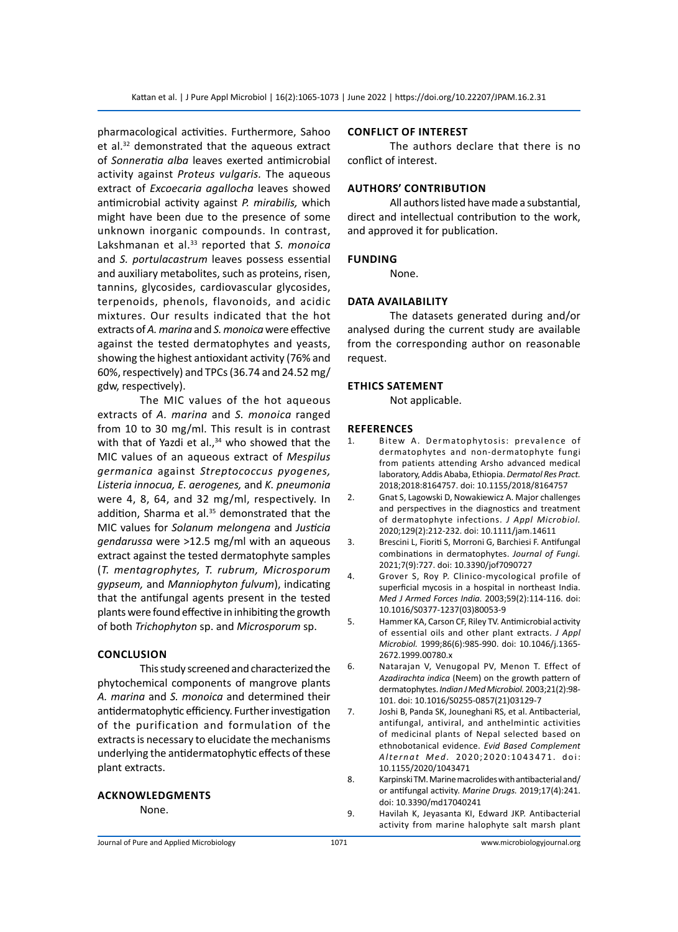pharmacological activities. Furthermore, Sahoo et al.32 demonstrated that the aqueous extract of *Sonneratia alba* leaves exerted antimicrobial activity against *Proteus vulgaris.* The aqueous extract of *Excoecaria agallocha* leaves showed antimicrobial activity against *P. mirabilis,* which might have been due to the presence of some unknown inorganic compounds. In contrast, Lakshmanan et al.33 reported that *S. monoica* and *S. portulacastrum* leaves possess essential and auxiliary metabolites, such as proteins, risen, tannins, glycosides, cardiovascular glycosides, terpenoids, phenols, flavonoids, and acidic mixtures. Our results indicated that the hot extracts of *A. marina* and *S. monoica* were effective against the tested dermatophytes and yeasts, showing the highest antioxidant activity (76% and 60%, respectively) and TPCs (36.74 and 24.52 mg/ gdw, respectively).

The MIC values of the hot aqueous extracts of *A. marina* and *S. monoica* ranged from 10 to 30 mg/ml. This result is in contrast with that of Yazdi et al., $34$  who showed that the MIC values of an aqueous extract of *Mespilus germanica* against *Streptococcus pyogenes, Listeria innocua, E. aerogenes,* and *K. pneumonia*  were 4, 8, 64, and 32 mg/ml, respectively. In addition, Sharma et al.<sup>35</sup> demonstrated that the MIC values for *Solanum melongena* and *Justicia gendarussa* were >12.5 mg/ml with an aqueous extract against the tested dermatophyte samples (*T. mentagrophytes, T. rubrum, Microsporum gypseum,* and *Manniophyton fulvum*), indicating that the antifungal agents present in the tested plants were found effective in inhibiting the growth of both *Trichophyton* sp. and *Microsporum* sp.

#### **Conclusion**

This study screened and characterized the phytochemical components of mangrove plants *A. marina* and *S. monoica* and determined their antidermatophytic efficiency. Further investigation of the purification and formulation of the extracts is necessary to elucidate the mechanisms underlying the antidermatophytic effects of these plant extracts.

## **Acknowledgments**

None.

# **Conflict of interest**

The authors declare that there is no conflict of interest.

### **Authors' contribution**

All authors listed have made a substantial, direct and intellectual contribution to the work, and approved it for publication.

#### **Funding**

None.

#### **Data availability**

The datasets generated during and/or analysed during the current study are available from the corresponding author on reasonable request.

#### **EthicS SATEMENT**

Not applicable.

#### **References**

- 1. Bitew A. Dermatophytosis: prevalence of dermatophytes and non-dermatophyte fungi from patients attending Arsho advanced medical laboratory, Addis Ababa, Ethiopia. *Dermatol Res Pract.* 2018;2018:8164757. doi: 10.1155/2018/8164757
- 2. Gnat S, Lagowski D, Nowakiewicz A. Major challenges and perspectives in the diagnostics and treatment of dermatophyte infections. *J Appl Microbiol.* 2020;129(2):212-232. doi: 10.1111/jam.14611
- 3. Brescini L, Fioriti S, Morroni G, Barchiesi F. Antifungal combinations in dermatophytes. *Journal of Fungi.* 2021;7(9):727. doi: 10.3390/jof7090727
- 4. Grover S, Roy P. Clinico-mycological profile of superficial mycosis in a hospital in northeast India. *Med J Armed Forces India.* 2003;59(2):114-116. doi: 10.1016/S0377-1237(03)80053-9
- 5. Hammer KA, Carson CF, Riley TV. Antimicrobial activity of essential oils and other plant extracts. *J Appl Microbiol.* 1999;86(6):985-990. doi: 10.1046/j.1365- 2672.1999.00780.x
- 6. Natarajan V, Venugopal PV, Menon T. Effect of *Azadirachta indica* (Neem) on the growth pattern of dermatophytes. *Indian J Med Microbiol.* 2003;21(2):98- 101. doi: 10.1016/S0255-0857(21)03129-7
- 7. Joshi B, Panda SK, Jouneghani RS, et al. Antibacterial, antifungal, antiviral, and anthelmintic activities of medicinal plants of Nepal selected based on ethnobotanical evidence. *Evid Based Complement*  Alternat Med. 2020;2020:1043471. doi: 10.1155/2020/1043471
- 8. Karpinski TM. Marine macrolides with antibacterial and/ or antifungal activity. *Marine Drugs.* 2019;17(4):241. doi: 10.3390/md17040241
- 9. Havilah K, Jeyasanta KI, Edward JKP. Antibacterial activity from marine halophyte salt marsh plant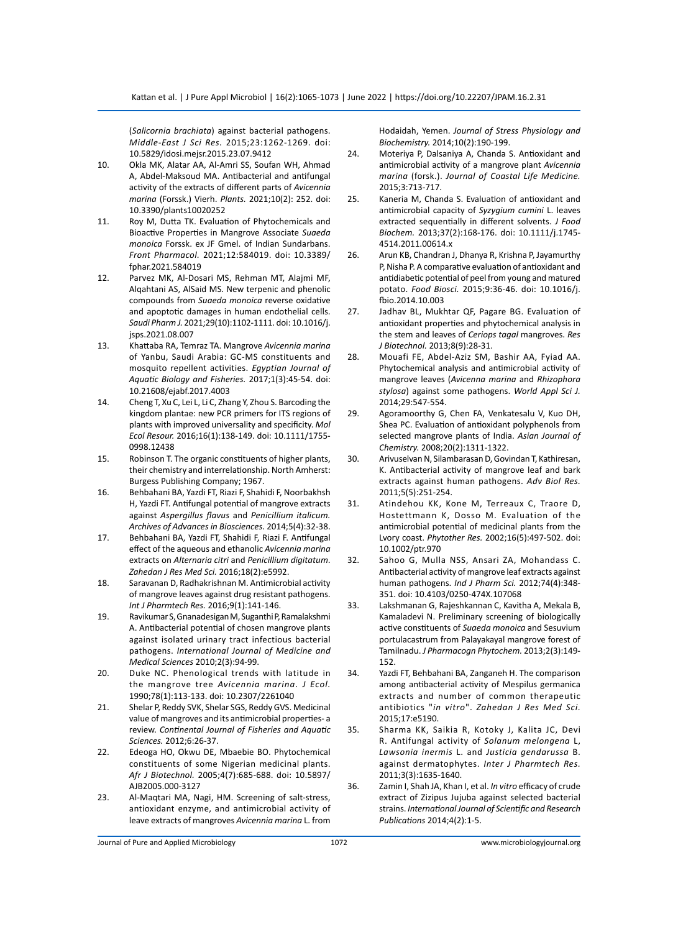(*Salicornia brachiata*) against bacterial pathogens. *Middle-East J Sci Res.* 2015;23:1262-1269. doi: 10.5829/idosi.mejsr.2015.23.07.9412

- 10. Okla MK, Alatar AA, Al-Amri SS, Soufan WH, Ahmad A, Abdel-Maksoud MA. Antibacterial and antifungal activity of the extracts of different parts of *Avicennia marina* (Forssk.) Vierh. *Plants.* 2021;10(2): 252. doi: 10.3390/plants10020252
- 11. Roy M, Dutta TK. Evaluation of Phytochemicals and Bioactive Properties in Mangrove Associate *Suaeda monoica* Forssk. ex JF Gmel. of Indian Sundarbans. *Front Pharmacol.* 2021;12:584019. doi: 10.3389/ fphar.2021.584019
- 12. Parvez MK, Al-Dosari MS, Rehman MT, Alajmi MF, Alqahtani AS, AlSaid MS. New terpenic and phenolic compounds from *Suaeda monoica* reverse oxidative and apoptotic damages in human endothelial cells. *Saudi Pharm J.* 2021;29(10):1102-1111. doi: 10.1016/j. jsps.2021.08.007
- 13. Khattaba RA, Temraz TA. Mangrove *Avicennia marina* of Yanbu, Saudi Arabia: GC-MS constituents and mosquito repellent activities. *Egyptian Journal of Aquatic Biology and Fisheries.* 2017;1(3):45-54. doi: 10.21608/ejabf.2017.4003
- 14. Cheng T, Xu C, Lei L, Li C, Zhang Y, Zhou S. Barcoding the kingdom plantae: new PCR primers for ITS regions of plants with improved universality and specificity. *Mol Ecol Resour.* 2016;16(1):138-149. doi: 10.1111/1755- 0998.12438
- 15. Robinson T. The organic constituents of higher plants, their chemistry and interrelationship. North Amherst: Burgess Publishing Company; 1967.
- 16. Behbahani BA, Yazdi FT, Riazi F, Shahidi F, Noorbakhsh H, Yazdi FT. Antifungal potential of mangrove extracts against *Aspergillus flavus* and *Penicillium italicum. Archives of Advances in Biosciences.* 2014;5(4):32-38.
- 17. Behbahani BA, Yazdi FT, Shahidi F, Riazi F. Antifungal effect of the aqueous and ethanolic *Avicennia marina* extracts on *Alternaria citri* and *Penicillium digitatum*. *Zahedan J Res Med Sci.* 2016;18(2):e5992.
- 18. Saravanan D, Radhakrishnan M. Antimicrobial activity of mangrove leaves against drug resistant pathogens. *Int J Pharmtech Res.* 2016;9(1):141-146.
- 19. Ravikumar S, Gnanadesigan M, Suganthi P, Ramalakshmi A. Antibacterial potential of chosen mangrove plants against isolated urinary tract infectious bacterial pathogens. *International Journal of Medicine and Medical Sciences* 2010;2(3):94-99.
- 20. Duke NC. Phenological trends with latitude in the mangrove tree *Avicennia marina*. *J Ecol.* 1990;78(1):113-133. doi: 10.2307/2261040
- 21. Shelar P, Reddy SVK, Shelar SGS, Reddy GVS. Medicinal value of mangroves and its antimicrobial properties- a review. *Continental Journal of Fisheries and Aquatic Sciences.* 2012;6:26-37.
- 22. Edeoga HO, Okwu DE, Mbaebie BO. Phytochemical constituents of some Nigerian medicinal plants. *Afr J Biotechnol.* 2005;4(7):685-688. doi: 10.5897/ AJB2005.000-3127
- 23. Al-Maqtari MA, Nagi, HM. Screening of salt-stress, antioxidant enzyme, and antimicrobial activity of leave extracts of mangroves *Avicennia marina* L. from

Hodaidah, Yemen. *Journal of Stress Physiology and Biochemistry.* 2014;10(2):190-199.

- 24. Moteriya P, Dalsaniya A, Chanda S. Antioxidant and antimicrobial activity of a mangrove plant *Avicennia marina* (forsk.). *Journal of Coastal Life Medicine.* 2015;3:713-717.
- 25. Kaneria M, Chanda S. Evaluation of antioxidant and antimicrobial capacity of *Syzygium cumini* L. leaves extracted sequentially in different solvents. *J Food Biochem.* 2013;37(2):168-176. doi: 10.1111/j.1745- 4514.2011.00614.x
- 26. Arun KB, Chandran J, Dhanya R, Krishna P, Jayamurthy P, Nisha P. A comparative evaluation of antioxidant and antidiabetic potential of peel from young and matured potato. *Food Biosci.* 2015;9:36-46. doi: 10.1016/j. fbio.2014.10.003
- 27. Jadhav BL, Mukhtar QF, Pagare BG. Evaluation of antioxidant properties and phytochemical analysis in the stem and leaves of *Ceriops tagal* mangroves. *Res J Biotechnol.* 2013;8(9):28-31.
- 28. Mouafi FE, Abdel-Aziz SM, Bashir AA, Fyiad AA. Phytochemical analysis and antimicrobial activity of mangrove leaves (*Avicenna marina* and *Rhizophora stylosa*) against some pathogens. *World Appl Sci J.* 2014;29:547-554.
- 29. Agoramoorthy G, Chen FA, Venkatesalu V, Kuo DH, Shea PC. Evaluation of antioxidant polyphenols from selected mangrove plants of India. *Asian Journal of Chemistry.* 2008;20(2):1311-1322.
- 30. Arivuselvan N, Silambarasan D, Govindan T, Kathiresan, K. Antibacterial activity of mangrove leaf and bark extracts against human pathogens. *Adv Biol Res.* 2011;5(5):251-254.
- 31. Atindehou KK, Kone M, Terreaux C, Traore D, Hostettmann K, Dosso M. Evaluation of the antimicrobial potential of medicinal plants from the Lvory coast. *Phytother Res.* 2002;16(5):497-502. doi: 10.1002/ptr.970
- 32. Sahoo G, Mulla NSS, Ansari ZA, Mohandass C. Antibacterial activity of mangrove leaf extracts against human pathogens. *Ind J Pharm Sci.* 2012;74(4):348- 351. doi: 10.4103/0250-474X.107068
- 33. Lakshmanan G, Rajeshkannan C, Kavitha A, Mekala B, Kamaladevi N. Preliminary screening of biologically active constituents of *Suaeda monoica* and Sesuvium portulacastrum from Palayakayal mangrove forest of Tamilnadu. *J Pharmacogn Phytochem.* 2013;2(3):149- 152.
- 34. Yazdi FT, Behbahani BA, Zanganeh H. The comparison among antibacterial activity of Mespilus germanica extracts and number of common therapeutic antibiotics "*in vitro*". *Zahedan J Res Med Sci.* 2015;17:e5190.
- 35. Sharma KK, Saikia R, Kotoky J, Kalita JC, Devi R. Antifungal activity of *Solanum melongena* L, *Lawsonia inermis* L. and *Justicia gendarussa* B. against dermatophytes. *Inter J Pharmtech Res.* 2011;3(3):1635-1640.
- 36. Zamin I, Shah JA, Khan I, et al. *In vitro* efficacy of crude extract of Zizipus Jujuba against selected bacterial strains. *International Journal of Scientific and Research Publications* 2014;4(2):1-5.